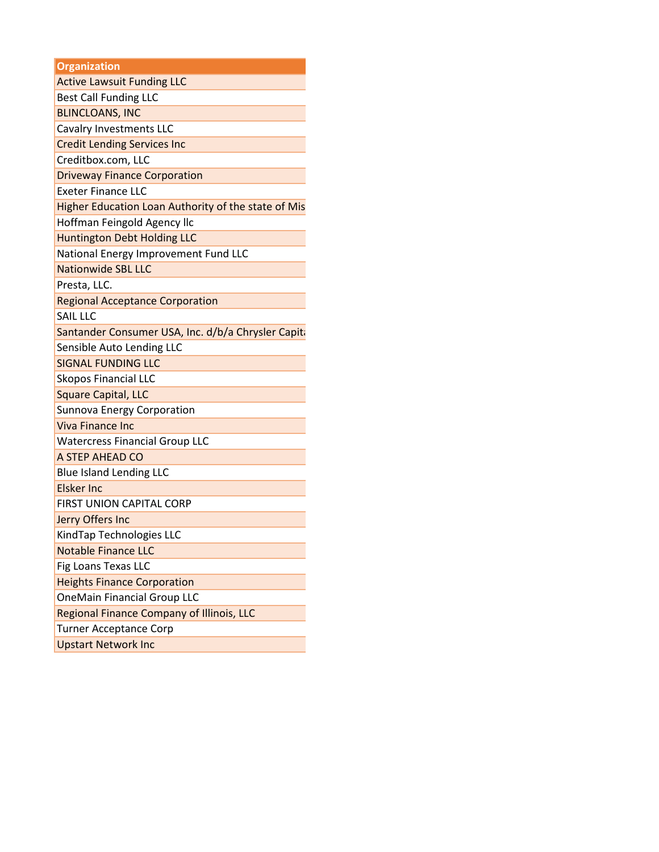| <b>Organization</b>                                 |  |  |
|-----------------------------------------------------|--|--|
| <b>Active Lawsuit Funding LLC</b>                   |  |  |
| <b>Best Call Funding LLC</b>                        |  |  |
| <b>BLINCLOANS, INC</b>                              |  |  |
| Cavalry Investments LLC                             |  |  |
| <b>Credit Lending Services Inc</b>                  |  |  |
| Creditbox.com, LLC                                  |  |  |
| <b>Driveway Finance Corporation</b>                 |  |  |
| <b>Exeter Finance LLC</b>                           |  |  |
| Higher Education Loan Authority of the state of Mis |  |  |
| Hoffman Feingold Agency Ilc                         |  |  |
| <b>Huntington Debt Holding LLC</b>                  |  |  |
| National Energy Improvement Fund LLC                |  |  |
| <b>Nationwide SBL LLC</b>                           |  |  |
| Presta, LLC.                                        |  |  |
| <b>Regional Acceptance Corporation</b>              |  |  |
| SAIL LLC                                            |  |  |
| Santander Consumer USA, Inc. d/b/a Chrysler Capita  |  |  |
| Sensible Auto Lending LLC                           |  |  |
| <b>SIGNAL FUNDING LLC</b>                           |  |  |
| <b>Skopos Financial LLC</b>                         |  |  |
| <b>Square Capital, LLC</b>                          |  |  |
| Sunnova Energy Corporation                          |  |  |
| <b>Viva Finance Inc</b>                             |  |  |
| <b>Watercress Financial Group LLC</b>               |  |  |
| A STEP AHEAD CO                                     |  |  |
| <b>Blue Island Lending LLC</b>                      |  |  |
| <b>Elsker Inc</b>                                   |  |  |
| FIRST UNION CAPITAL CORP                            |  |  |
| Jerry Offers Inc                                    |  |  |
| KindTap Technologies LLC                            |  |  |
| <b>Notable Finance LLC</b>                          |  |  |
| Fig Loans Texas LLC                                 |  |  |
| <b>Heights Finance Corporation</b>                  |  |  |
| <b>OneMain Financial Group LLC</b>                  |  |  |
| Regional Finance Company of Illinois, LLC           |  |  |
| <b>Turner Acceptance Corp</b>                       |  |  |
| <b>Upstart Network Inc</b>                          |  |  |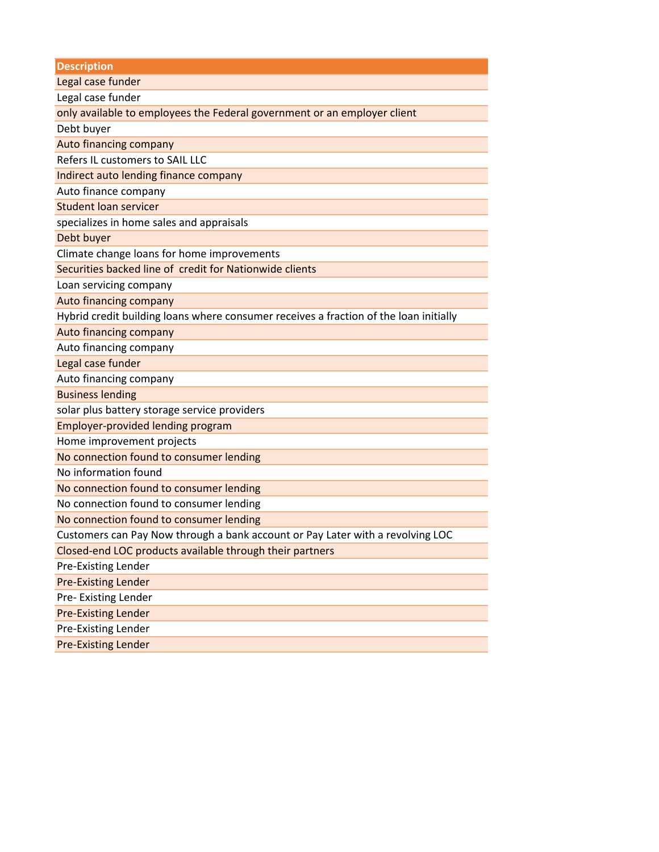**Description**

Legal case funder

Legal case funder

only available to employees the Federal government or an employer client

Debt buyer

Auto financing company

Refers IL customers to SAIL LLC

Indirect auto lending finance company

Auto finance company

Student loan servicer

specializes in home sales and appraisals

Debt buyer

Climate change loans for home improvements

Securities backed line of credit for Nationwide clients

Loan servicing company

Auto financing company

Hybrid credit building loans where consumer receives a fraction of the loan initially

Auto financing company

Auto financing company

Legal case funder

Auto financing company

Business lending

solar plus battery storage service providers

Employer-provided lending program

Home improvement projects

No connection found to consumer lending

No information found

No connection found to consumer lending

No connection found to consumer lending

No connection found to consumer lending

Customers can Pay Now through a bank account or Pay Later with a revolving LOC

Closed-end LOC products available through their partners

Pre-Existing Lender

Pre-Existing Lender

Pre- Existing Lender

Pre-Existing Lender

Pre-Existing Lender

Pre-Existing Lender